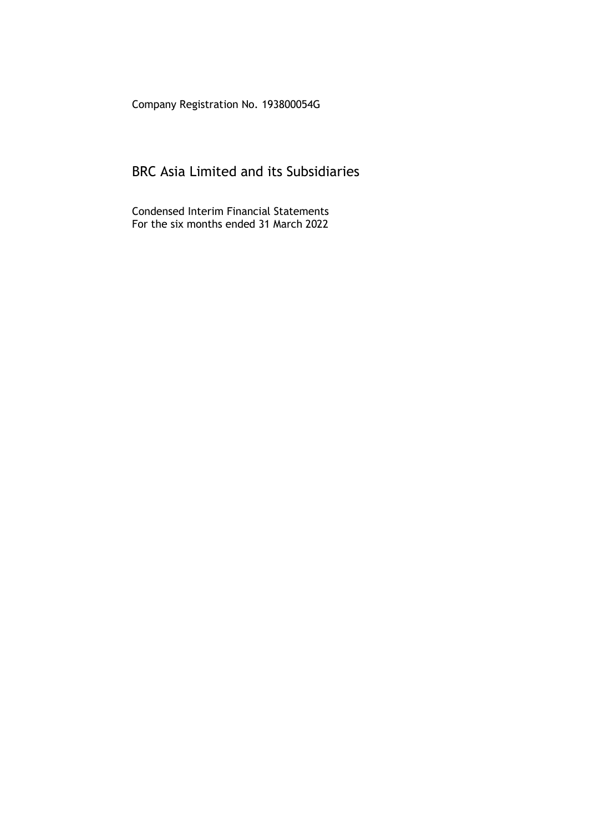Company Registration No. 193800054G

# BRC Asia Limited and its Subsidiaries

Condensed Interim Financial Statements For the six months ended 31 March 2022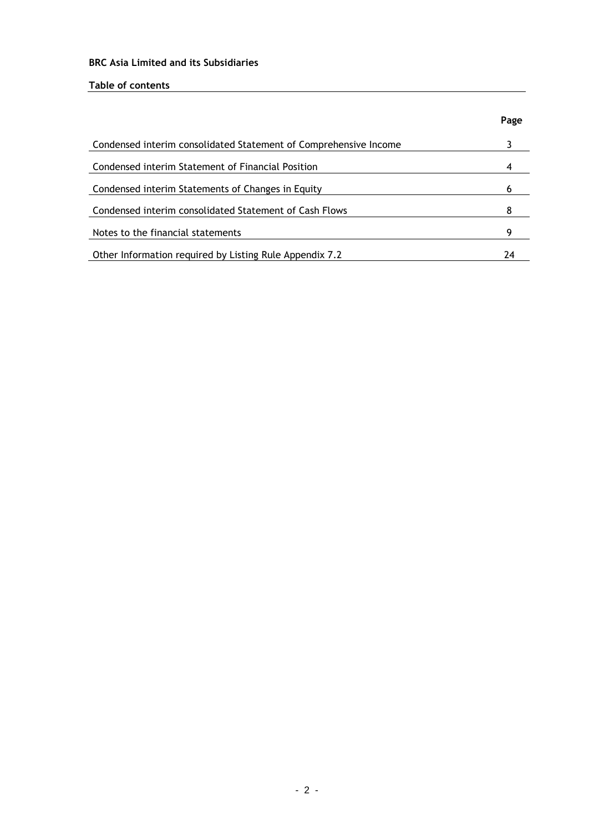# **Table of contents**

|                                                                  | Page |
|------------------------------------------------------------------|------|
| Condensed interim consolidated Statement of Comprehensive Income |      |
| Condensed interim Statement of Financial Position                |      |
| Condensed interim Statements of Changes in Equity                |      |
| Condensed interim consolidated Statement of Cash Flows           |      |
| Notes to the financial statements                                | Q    |
| Other Information required by Listing Rule Appendix 7.2          | 24   |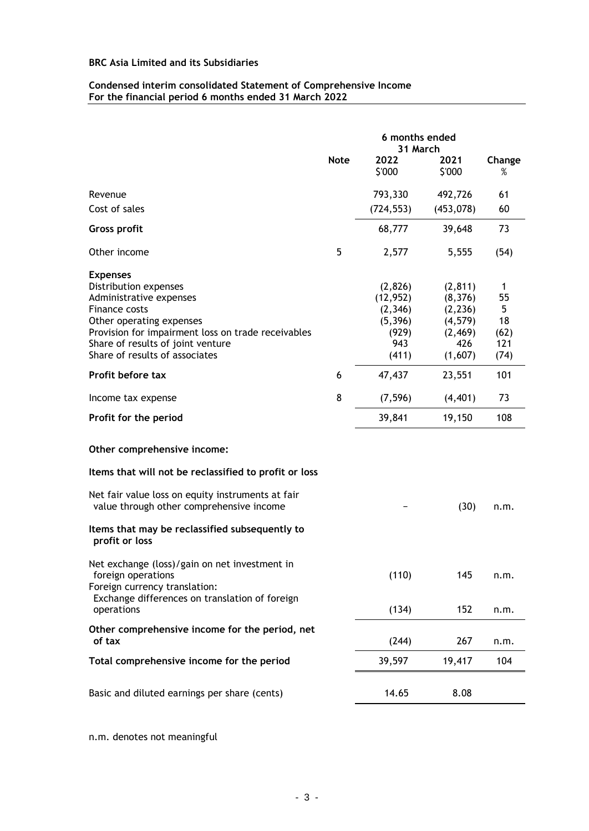### **Condensed interim consolidated Statement of Comprehensive Income For the financial period 6 months ended 31 March 2022**

|                                                                                                      | 6 months ended<br>31 March |                                  |                                  |              |
|------------------------------------------------------------------------------------------------------|----------------------------|----------------------------------|----------------------------------|--------------|
|                                                                                                      | <b>Note</b>                | 2022<br>\$'000                   | 2021<br>\$'000                   | Change<br>%  |
| Revenue                                                                                              |                            | 793,330                          | 492,726                          | 61           |
| Cost of sales                                                                                        |                            | (724, 553)                       | (453, 078)                       | 60           |
| <b>Gross profit</b>                                                                                  |                            | 68,777                           | 39,648                           | 73           |
| Other income                                                                                         | 5                          | 2,577                            | 5,555                            | (54)         |
| <b>Expenses</b><br>Distribution expenses<br>Administrative expenses<br>Finance costs                 |                            | (2,826)<br>(12, 952)<br>(2, 346) | (2, 811)<br>(8, 376)<br>(2, 236) | 1<br>55<br>5 |
| Other operating expenses                                                                             |                            | (5, 396)                         | (4, 579)                         | 18           |
| Provision for impairment loss on trade receivables<br>Share of results of joint venture              |                            | (929)<br>943                     | (2, 469)<br>426                  | (62)<br>121  |
| Share of results of associates                                                                       |                            | (411)                            | (1,607)                          | (74)         |
| Profit before tax                                                                                    | 6                          | 47,437                           | 23,551                           | 101          |
| Income tax expense                                                                                   | 8                          | (7, 596)                         | (4, 401)                         | 73           |
| Profit for the period                                                                                |                            | 39,841                           | 19,150                           | 108          |
| Other comprehensive income:                                                                          |                            |                                  |                                  |              |
| Items that will not be reclassified to profit or loss                                                |                            |                                  |                                  |              |
| Net fair value loss on equity instruments at fair<br>value through other comprehensive income        |                            |                                  | (30)                             | n.m.         |
| Items that may be reclassified subsequently to<br>profit or loss                                     |                            |                                  |                                  |              |
| Net exchange (loss)/gain on net investment in<br>foreign operations<br>Foreign currency translation: |                            | (110)                            | 145                              | n.m.         |
| Exchange differences on translation of foreign<br>operations                                         |                            | (134)                            | 152                              | n.m.         |
| Other comprehensive income for the period, net<br>of tax                                             |                            | (244)                            | 267                              | n.m.         |
| Total comprehensive income for the period                                                            |                            | 39,597                           | 19,417                           | 104          |
| Basic and diluted earnings per share (cents)                                                         |                            | 14.65                            | 8.08                             |              |

n.m. denotes not meaningful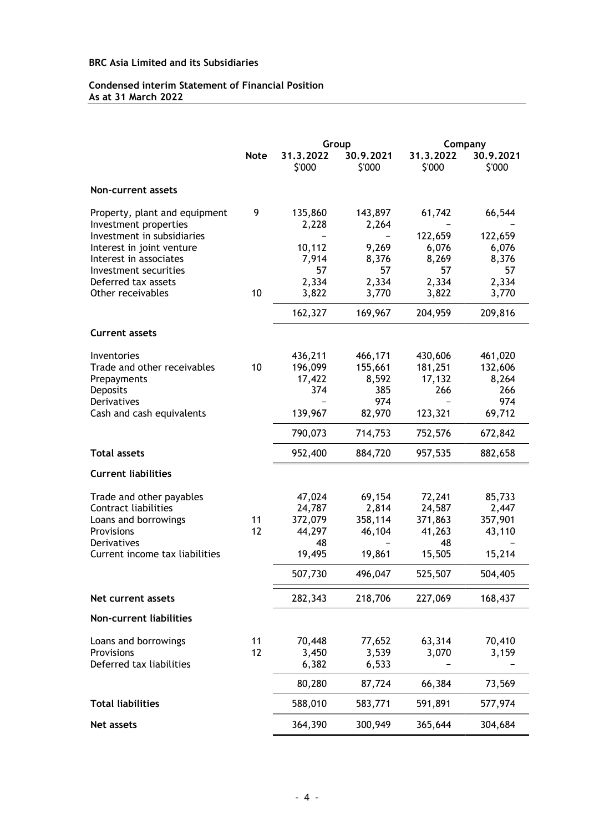# **Condensed interim Statement of Financial Position As at 31 March 2022**

|                                                        |             |                  | Group            | Company   |           |
|--------------------------------------------------------|-------------|------------------|------------------|-----------|-----------|
|                                                        | <b>Note</b> | 31.3.2022        | 30.9.2021        | 31.3.2022 | 30.9.2021 |
|                                                        |             | \$'000           | \$'000           | \$'000    | \$'000    |
| Non-current assets                                     |             |                  |                  |           |           |
| Property, plant and equipment<br>Investment properties | 9           | 135,860<br>2,228 | 143,897<br>2,264 | 61,742    | 66,544    |
| Investment in subsidiaries                             |             |                  |                  | 122,659   | 122,659   |
| Interest in joint venture                              |             | 10,112           | 9,269            | 6,076     | 6,076     |
| Interest in associates                                 |             | 7,914            | 8,376            | 8,269     | 8,376     |
| Investment securities                                  |             | 57               | 57               | 57        | 57        |
| Deferred tax assets                                    |             | 2,334            | 2,334            | 2,334     | 2,334     |
| Other receivables                                      | 10          | 3,822            | 3,770            | 3,822     | 3,770     |
|                                                        |             | 162,327          | 169,967          | 204,959   | 209,816   |
| <b>Current assets</b>                                  |             |                  |                  |           |           |
| Inventories                                            |             | 436,211          | 466,171          | 430,606   | 461,020   |
| Trade and other receivables                            | 10          | 196,099          | 155,661          | 181,251   | 132,606   |
| Prepayments                                            |             | 17,422           | 8,592            | 17,132    | 8,264     |
| Deposits                                               |             | 374              | 385              | 266       | 266       |
| Derivatives                                            |             |                  | 974              |           | 974       |
| Cash and cash equivalents                              |             | 139,967          | 82,970           | 123,321   | 69,712    |
|                                                        |             | 790,073          | 714,753          | 752,576   | 672,842   |
| <b>Total assets</b>                                    |             | 952,400          | 884,720          | 957,535   | 882,658   |
| <b>Current liabilities</b>                             |             |                  |                  |           |           |
| Trade and other payables                               |             | 47,024           | 69,154           | 72,241    | 85,733    |
| Contract liabilities                                   |             | 24,787           | 2,814            | 24,587    | 2,447     |
| Loans and borrowings                                   | 11          | 372,079          | 358,114          | 371,863   | 357,901   |
| Provisions                                             | 12          | 44,297           | 46,104           | 41,263    | 43,110    |
| Derivatives                                            |             | 48               |                  | 48        |           |
| Current income tax liabilities                         |             | 19,495           | 19,861           | 15,505    | 15,214    |
|                                                        |             | 507,730          | 496,047          | 525,507   | 504,405   |
| Net current assets                                     |             | 282,343          | 218,706          | 227,069   | 168,437   |
| Non-current liabilities                                |             |                  |                  |           |           |
| Loans and borrowings                                   | 11          | 70,448           | 77,652           | 63,314    | 70,410    |
| Provisions                                             | 12          | 3,450            | 3,539            | 3,070     | 3,159     |
| Deferred tax liabilities                               |             | 6,382            | 6,533            |           |           |
|                                                        |             | 80,280           | 87,724           | 66,384    | 73,569    |
| <b>Total liabilities</b>                               |             | 588,010          | 583,771          | 591,891   | 577,974   |
| Net assets                                             |             | 364,390          | 300,949          | 365,644   | 304,684   |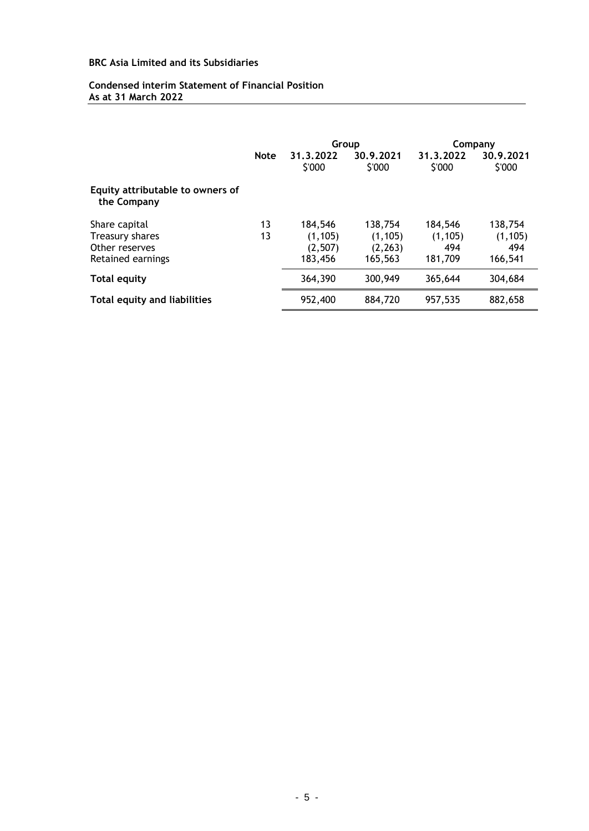# **Condensed interim Statement of Financial Position As at 31 March 2022**

|                                                 |             | Group               |                     | Company             |                     |
|-------------------------------------------------|-------------|---------------------|---------------------|---------------------|---------------------|
|                                                 | <b>Note</b> | 31.3.2022<br>\$'000 | 30.9.2021<br>\$'000 | 31.3.2022<br>\$'000 | 30.9.2021<br>\$'000 |
| Equity attributable to owners of<br>the Company |             |                     |                     |                     |                     |
| Share capital                                   | 13          | 184,546             | 138,754             | 184,546             | 138,754             |
| Treasury shares                                 | 13          | (1, 105)            | (1, 105)            | (1, 105)            | (1, 105)            |
| Other reserves                                  |             | (2, 507)            | (2, 263)            | 494                 | 494                 |
| Retained earnings                               |             | 183,456             | 165,563             | 181,709             | 166,541             |
| <b>Total equity</b>                             |             | 364,390             | 300,949             | 365,644             | 304,684             |
| Total equity and liabilities                    |             | 952,400             | 884,720             | 957,535             | 882,658             |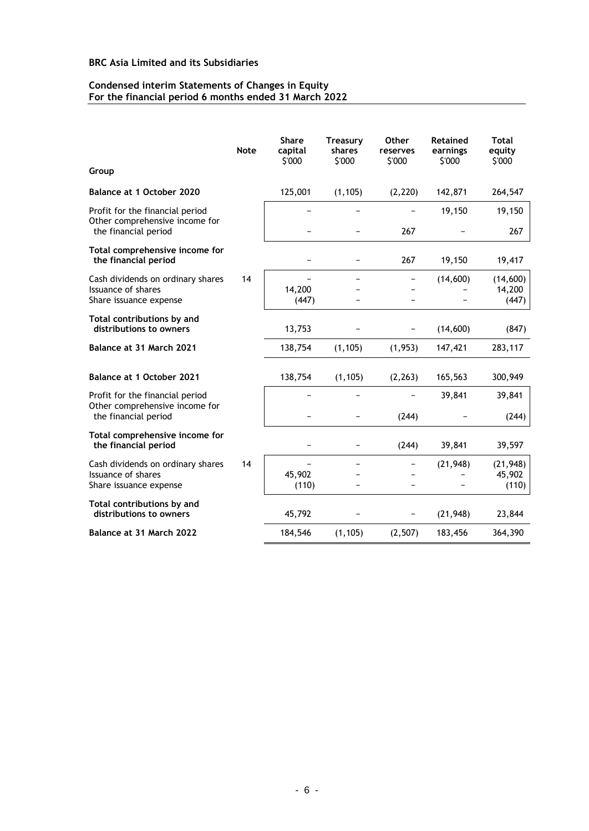#### **Condensed interim Statements of Changes in Equity For the financial period 6 months ended 31 March 2022**

|                                                                                           | <b>Note</b> | <b>Share</b><br>capital<br>\$'000 | <b>Treasury</b><br>shares<br>\$'000 | <b>Other</b><br>reserves<br>\$'000 | <b>Retained</b><br>earnings<br>\$'000 | <b>Total</b><br>equity<br>\$'000 |
|-------------------------------------------------------------------------------------------|-------------|-----------------------------------|-------------------------------------|------------------------------------|---------------------------------------|----------------------------------|
| Group                                                                                     |             |                                   |                                     |                                    |                                       |                                  |
| Balance at 1 October 2020                                                                 |             | 125,001                           | (1, 105)                            | (2, 220)                           | 142,871                               | 264,547                          |
| Profit for the financial period<br>Other comprehensive income for<br>the financial period |             |                                   |                                     | 267                                | 19,150                                | 19,150<br>267                    |
| Total comprehensive income for<br>the financial period                                    |             |                                   |                                     | 267                                | 19,150                                | 19,417                           |
| Cash dividends on ordinary shares<br>Issuance of shares<br>Share issuance expense         | 14          | 14,200<br>(447)                   |                                     |                                    | (14, 600)                             | (14,600)<br>14,200<br>(447)      |
| Total contributions by and<br>distributions to owners                                     |             | 13,753                            |                                     |                                    | (14,600)                              | (847)                            |
| Balance at 31 March 2021                                                                  |             | 138,754                           | (1, 105)                            | (1, 953)                           | 147,421                               | 283,117                          |
| <b>Balance at 1 October 2021</b>                                                          |             | 138,754                           | (1, 105)                            | (2, 263)                           | 165,563                               | 300,949                          |
| Profit for the financial period<br>Other comprehensive income for                         |             |                                   |                                     |                                    | 39,841                                | 39,841                           |
| the financial period                                                                      |             |                                   |                                     | (244)                              |                                       | (244)                            |
| Total comprehensive income for<br>the financial period                                    |             |                                   |                                     | (244)                              | 39,841                                | 39,597                           |
| Cash dividends on ordinary shares<br>Issuance of shares<br>Share issuance expense         | 14          | 45,902<br>(110)                   |                                     |                                    | (21, 948)                             | (21, 948)<br>45,902<br>(110)     |
| Total contributions by and<br>distributions to owners                                     |             | 45,792                            |                                     |                                    | (21, 948)                             | 23,844                           |
| Balance at 31 March 2022                                                                  |             | 184,546                           | (1, 105)                            | (2, 507)                           | 183,456                               | 364,390                          |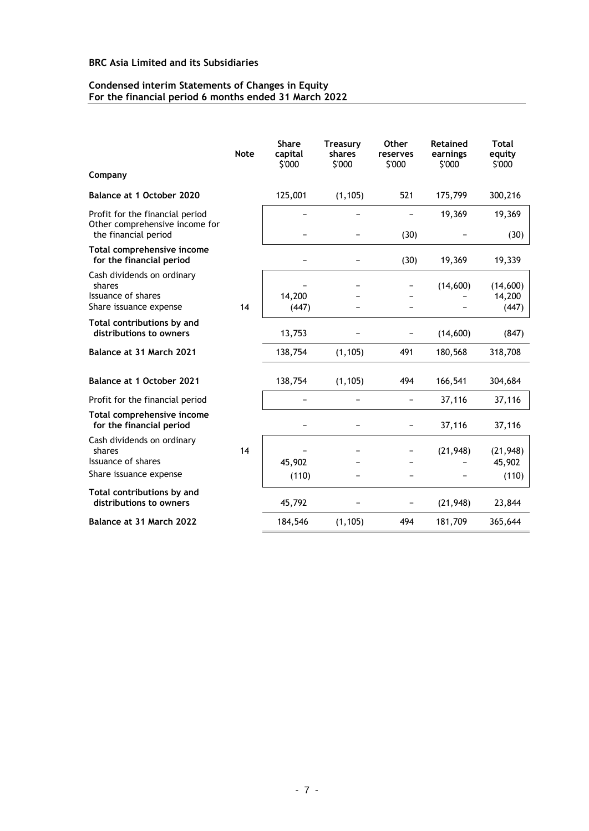#### **Condensed interim Statements of Changes in Equity For the financial period 6 months ended 31 March 2022**

|                                                                                           | <b>Note</b> | <b>Share</b><br>capital<br>\$'000 | <b>Treasury</b><br>shares<br>\$'000 | Other<br>reserves<br>\$'000 | Retained<br>earnings<br>\$'000 | <b>Total</b><br>equity<br>\$'000 |
|-------------------------------------------------------------------------------------------|-------------|-----------------------------------|-------------------------------------|-----------------------------|--------------------------------|----------------------------------|
| Company                                                                                   |             |                                   |                                     |                             |                                |                                  |
| Balance at 1 October 2020                                                                 |             | 125,001                           | (1, 105)                            | 521                         | 175,799                        | 300,216                          |
| Profit for the financial period<br>Other comprehensive income for<br>the financial period |             |                                   |                                     | (30)                        | 19,369                         | 19,369<br>(30)                   |
| Total comprehensive income                                                                |             |                                   |                                     |                             |                                |                                  |
| for the financial period                                                                  |             |                                   |                                     | (30)                        | 19,369                         | 19,339                           |
| Cash dividends on ordinary<br>shares                                                      |             |                                   |                                     |                             | (14,600)                       | (14,600)                         |
| Issuance of shares                                                                        |             | 14,200                            |                                     |                             |                                | 14,200                           |
| Share issuance expense                                                                    | 14          | (447)                             |                                     |                             |                                | (447)                            |
| Total contributions by and<br>distributions to owners                                     |             | 13,753                            |                                     |                             | (14,600)                       | (847)                            |
| Balance at 31 March 2021                                                                  |             | 138,754                           | (1, 105)                            | 491                         | 180,568                        | 318,708                          |
| Balance at 1 October 2021                                                                 |             | 138,754                           | (1, 105)                            | 494                         | 166,541                        | 304,684                          |
| Profit for the financial period                                                           |             |                                   |                                     |                             | 37,116                         | 37,116                           |
| Total comprehensive income<br>for the financial period                                    |             |                                   |                                     |                             | 37,116                         | 37,116                           |
| Cash dividends on ordinary<br>shares                                                      | 14          |                                   |                                     |                             | (21, 948)                      | (21, 948)                        |
| Issuance of shares                                                                        |             | 45,902                            |                                     |                             |                                | 45,902                           |
| Share issuance expense                                                                    |             | (110)                             |                                     |                             |                                | (110)                            |
| Total contributions by and<br>distributions to owners                                     |             | 45,792                            |                                     |                             | (21, 948)                      | 23,844                           |
| Balance at 31 March 2022                                                                  |             | 184,546                           | (1, 105)                            | 494                         | 181,709                        | 365,644                          |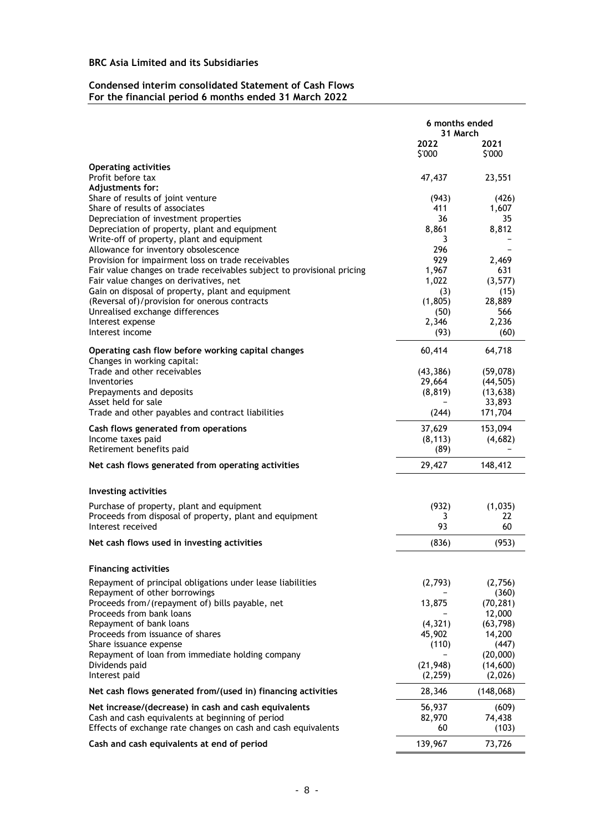# **Condensed interim consolidated Statement of Cash Flows For the financial period 6 months ended 31 March 2022**

|                                                                                             | 6 months ended<br>31 March |                      |
|---------------------------------------------------------------------------------------------|----------------------------|----------------------|
|                                                                                             | 2022<br>\$'000             | 2021<br>\$'000       |
| <b>Operating activities</b>                                                                 |                            |                      |
| Profit before tax<br>Adjustments for:                                                       | 47,437                     | 23,551               |
| Share of results of joint venture                                                           | (943)                      | (426)                |
| Share of results of associates                                                              | 411                        | 1,607                |
| Depreciation of investment properties                                                       | 36                         | 35                   |
| Depreciation of property, plant and equipment                                               | 8,861                      | 8,812                |
| Write-off of property, plant and equipment<br>Allowance for inventory obsolescence          | 3<br>296                   |                      |
| Provision for impairment loss on trade receivables                                          | 929                        | 2,469                |
| Fair value changes on trade receivables subject to provisional pricing                      | 1,967                      | 631                  |
| Fair value changes on derivatives, net                                                      | 1,022                      | (3,577)              |
| Gain on disposal of property, plant and equipment                                           | (3)                        | (15)                 |
| (Reversal of)/provision for onerous contracts                                               | (1,805)                    | 28,889               |
| Unrealised exchange differences                                                             | (50)                       | 566<br>2,236         |
| Interest expense<br>Interest income                                                         | 2,346<br>(93)              | (60)                 |
|                                                                                             |                            |                      |
| Operating cash flow before working capital changes<br>Changes in working capital:           | 60,414                     | 64,718               |
| Trade and other receivables                                                                 | (43, 386)                  | (59,078)             |
| Inventories                                                                                 | 29,664                     | (44, 505)            |
| Prepayments and deposits                                                                    | (8, 819)                   | (13, 638)            |
| Asset held for sale<br>Trade and other payables and contract liabilities                    | (244)                      | 33,893<br>171,704    |
| Cash flows generated from operations                                                        | 37,629                     | 153,094              |
| Income taxes paid                                                                           | (8, 113)                   | (4,682)              |
| Retirement benefits paid                                                                    | (89)                       |                      |
| Net cash flows generated from operating activities                                          | 29,427                     | 148,412              |
| <b>Investing activities</b>                                                                 |                            |                      |
| Purchase of property, plant and equipment                                                   | (932)                      | (1,035)              |
| Proceeds from disposal of property, plant and equipment                                     | 3                          | 22                   |
| Interest received                                                                           | 93                         | 60                   |
| Net cash flows used in investing activities                                                 | (836)                      | (953)                |
| <b>Financing activities</b>                                                                 |                            |                      |
| Repayment of principal obligations under lease liabilities<br>Repayment of other borrowings | (2,793)                    | (2,756)<br>(360)     |
| Proceeds from/(repayment of) bills payable, net                                             | 13,875                     | (70, 281)            |
| Proceeds from bank loans                                                                    |                            | 12,000               |
| Repayment of bank loans                                                                     | (4, 321)                   | (63, 798)            |
| Proceeds from issuance of shares                                                            | 45,902                     | 14,200               |
| Share issuance expense                                                                      | (110)                      | (447)                |
| Repayment of loan from immediate holding company<br>Dividends paid                          | (21, 948)                  | (20,000)<br>(14,600) |
| Interest paid                                                                               | (2,259)                    | (2,026)              |
| Net cash flows generated from/(used in) financing activities                                | 28,346                     | (148,068)            |
| Net increase/(decrease) in cash and cash equivalents                                        | 56,937                     | (609)                |
| Cash and cash equivalents at beginning of period                                            | 82,970                     | 74,438               |
| Effects of exchange rate changes on cash and cash equivalents                               | 60                         | (103)                |
| Cash and cash equivalents at end of period                                                  | 139,967                    | 73,726               |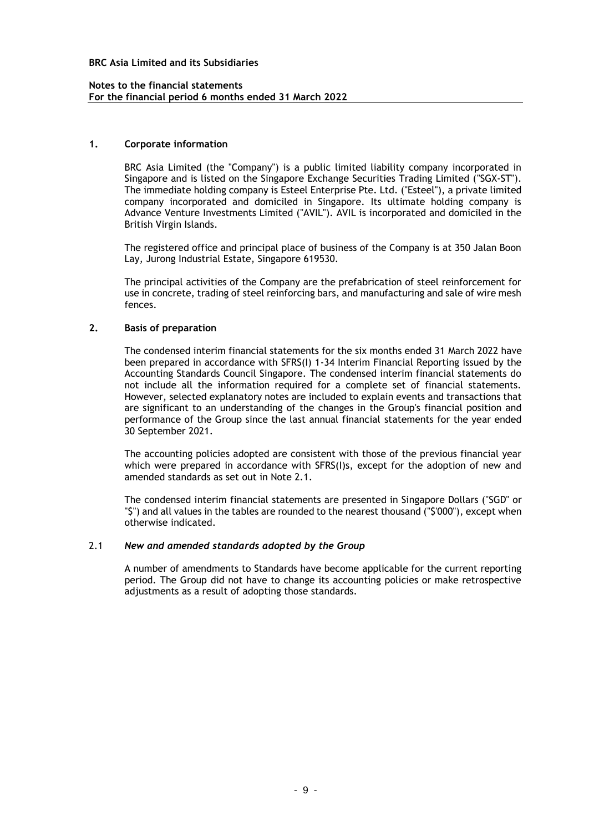#### **Notes to the financial statements For the financial period 6 months ended 31 March 2022**

#### **1. Corporate information**

BRC Asia Limited (the "Company") is a public limited liability company incorporated in Singapore and is listed on the Singapore Exchange Securities Trading Limited ("SGX-ST"). The immediate holding company is Esteel Enterprise Pte. Ltd. ("Esteel"), a private limited company incorporated and domiciled in Singapore. Its ultimate holding company is Advance Venture Investments Limited ("AVIL"). AVIL is incorporated and domiciled in the British Virgin Islands.

The registered office and principal place of business of the Company is at 350 Jalan Boon Lay, Jurong Industrial Estate, Singapore 619530.

The principal activities of the Company are the prefabrication of steel reinforcement for use in concrete, trading of steel reinforcing bars, and manufacturing and sale of wire mesh fences.

### **2. Basis of preparation**

The condensed interim financial statements for the six months ended 31 March 2022 have been prepared in accordance with SFRS(I) 1-34 Interim Financial Reporting issued by the Accounting Standards Council Singapore. The condensed interim financial statements do not include all the information required for a complete set of financial statements. However, selected explanatory notes are included to explain events and transactions that are significant to an understanding of the changes in the Group's financial position and performance of the Group since the last annual financial statements for the year ended 30 September 2021.

The accounting policies adopted are consistent with those of the previous financial year which were prepared in accordance with SFRS(I)s, except for the adoption of new and amended standards as set out in Note 2.1.

The condensed interim financial statements are presented in Singapore Dollars ("SGD" or "\$") and all values in the tables are rounded to the nearest thousand ("\$'000"), except when otherwise indicated.

#### 2.1 *New and amended standards adopted by the Group*

A number of amendments to Standards have become applicable for the current reporting period. The Group did not have to change its accounting policies or make retrospective adjustments as a result of adopting those standards.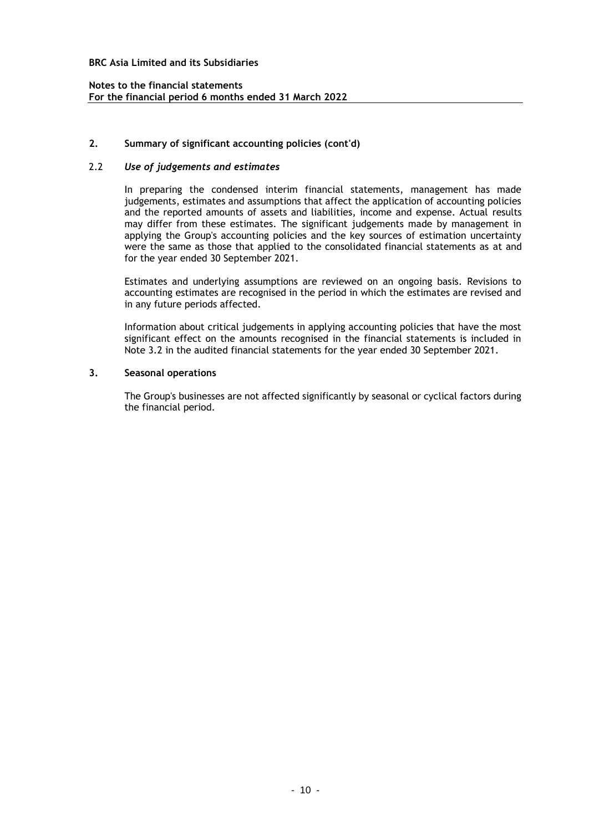### **Notes to the financial statements For the financial period 6 months ended 31 March 2022**

### **2. Summary of significant accounting policies (cont'd)**

#### 2.2 *Use of judgements and estimates*

In preparing the condensed interim financial statements, management has made judgements, estimates and assumptions that affect the application of accounting policies and the reported amounts of assets and liabilities, income and expense. Actual results may differ from these estimates. The significant judgements made by management in applying the Group's accounting policies and the key sources of estimation uncertainty were the same as those that applied to the consolidated financial statements as at and for the year ended 30 September 2021.

Estimates and underlying assumptions are reviewed on an ongoing basis. Revisions to accounting estimates are recognised in the period in which the estimates are revised and in any future periods affected.

Information about critical judgements in applying accounting policies that have the most significant effect on the amounts recognised in the financial statements is included in Note 3.2 in the audited financial statements for the year ended 30 September 2021.

### **3. Seasonal operations**

The Group's businesses are not affected significantly by seasonal or cyclical factors during the financial period.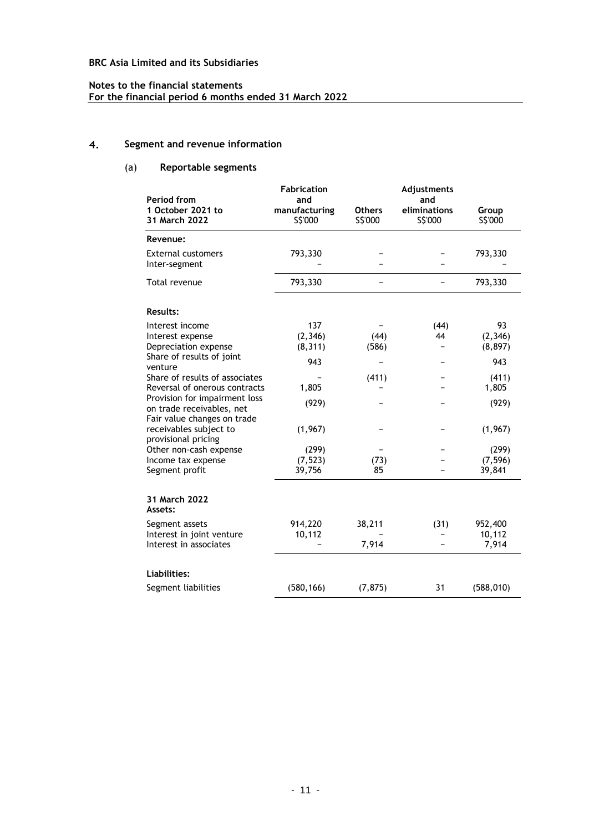# **Notes to the financial statements For the financial period 6 months ended 31 March 2022**

#### 4. **Segment and revenue information**

# (a) **Reportable segments**

| Period from                                                                               | <b>Fabrication</b>              |                          | Adjustments<br>and      |                            |
|-------------------------------------------------------------------------------------------|---------------------------------|--------------------------|-------------------------|----------------------------|
| 1 October 2021 to<br>31 March 2022                                                        | and<br>manufacturing<br>S\$'000 | <b>Others</b><br>S\$'000 | eliminations<br>S\$'000 | Group<br>S\$'000           |
| Revenue:                                                                                  |                                 |                          |                         |                            |
| <b>External customers</b><br>Inter-segment                                                | 793,330                         |                          |                         | 793,330                    |
| Total revenue                                                                             | 793,330                         |                          |                         | 793,330                    |
| <b>Results:</b>                                                                           |                                 |                          |                         |                            |
| Interest income<br>Interest expense<br>Depreciation expense                               | 137<br>(2, 346)<br>(8, 311)     | (44)<br>(586)            | (44)<br>44              | 93<br>(2, 346)<br>(8, 897) |
| Share of results of joint<br>venture                                                      | 943                             |                          |                         | 943                        |
| Share of results of associates<br>Reversal of onerous contracts                           | 1,805                           | (411)                    |                         | (411)<br>1,805             |
| Provision for impairment loss<br>on trade receivables, net<br>Fair value changes on trade | (929)                           |                          |                         | (929)                      |
| receivables subject to<br>provisional pricing                                             | (1,967)                         |                          |                         | (1,967)                    |
| Other non-cash expense                                                                    | (299)                           |                          |                         | (299)                      |
| Income tax expense<br>Segment profit                                                      | (7, 523)<br>39,756              | (73)<br>85               |                         | (7, 596)<br>39,841         |
| 31 March 2022<br>Assets:                                                                  |                                 |                          |                         |                            |
| Segment assets<br>Interest in joint venture<br>Interest in associates                     | 914,220<br>10,112               | 38,211<br>7,914          | (31)                    | 952,400<br>10,112<br>7,914 |
| Liabilities:                                                                              |                                 |                          |                         |                            |
| Segment liabilities                                                                       | (580, 166)                      | (7, 875)                 | 31                      | (588, 010)                 |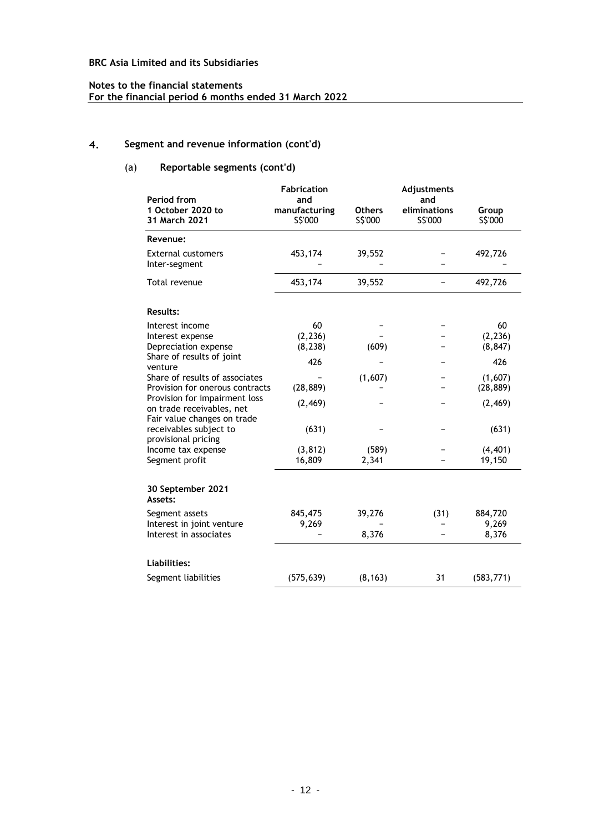# **Notes to the financial statements For the financial period 6 months ended 31 March 2022**

#### 4. **Segment and revenue information (cont'd)**

# (a) **Reportable segments (cont'd)**

|                                                                                           | <b>Fabrication</b>               |                          | Adjustments                    |                    |
|-------------------------------------------------------------------------------------------|----------------------------------|--------------------------|--------------------------------|--------------------|
| Period from<br>1 October 2020 to<br>31 March 2021                                         | and<br>manufacturing<br>\$\$'000 | <b>Others</b><br>S\$'000 | and<br>eliminations<br>S\$'000 | Group<br>S\$'000   |
| Revenue:                                                                                  |                                  |                          |                                |                    |
| <b>External customers</b><br>Inter-segment                                                | 453,174                          | 39,552                   |                                | 492,726            |
| Total revenue                                                                             | 453,174                          | 39,552                   |                                | 492,726            |
| <b>Results:</b>                                                                           |                                  |                          |                                |                    |
| Interest income                                                                           | 60                               |                          |                                | 60                 |
| Interest expense                                                                          | (2, 236)                         |                          |                                | (2, 236)           |
| Depreciation expense<br>Share of results of joint                                         | (8, 238)                         | (609)                    |                                | (8, 847)           |
| venture                                                                                   | 426                              |                          |                                | 426                |
| Share of results of associates                                                            |                                  | (1,607)                  |                                | (1,607)            |
| Provision for onerous contracts                                                           | (28, 889)                        |                          |                                | (28, 889)          |
| Provision for impairment loss<br>on trade receivables, net<br>Fair value changes on trade | (2, 469)                         |                          |                                | (2, 469)           |
| receivables subject to<br>provisional pricing                                             | (631)                            |                          |                                | (631)              |
| Income tax expense<br>Segment profit                                                      | (3, 812)<br>16,809               | (589)<br>2,341           |                                | (4, 401)<br>19,150 |
| 30 September 2021<br>Assets:                                                              |                                  |                          |                                |                    |
| Segment assets                                                                            | 845,475                          | 39,276                   | (31)                           | 884,720            |
| Interest in joint venture<br>Interest in associates                                       | 9,269                            | 8,376                    |                                | 9,269<br>8,376     |
| Liabilities:                                                                              |                                  |                          |                                |                    |
| Segment liabilities                                                                       | (575, 639)                       | (8, 163)                 | 31                             | (583, 771)         |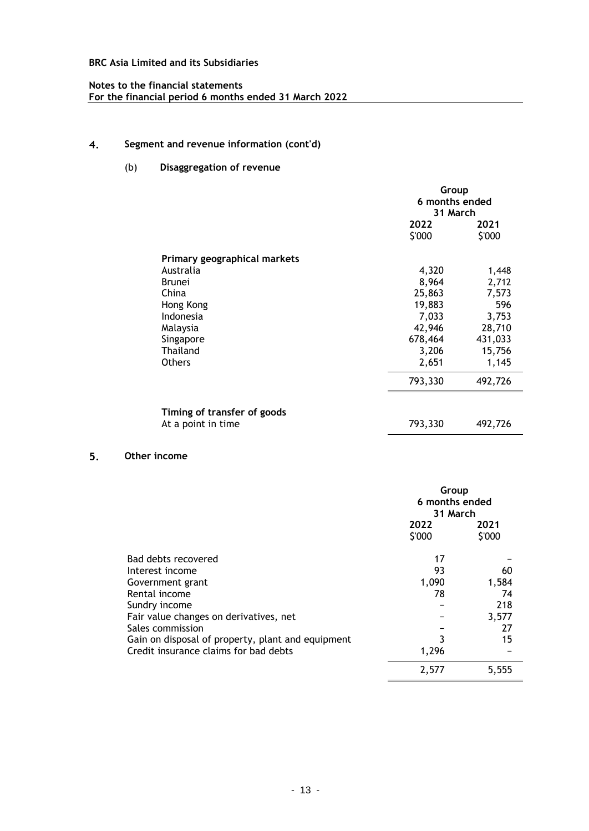# **Notes to the financial statements For the financial period 6 months ended 31 March 2022**

#### 4. **Segment and revenue information (cont'd)**

# (b) **Disaggregation of revenue**

|                                                   |                | Group<br>6 months ended<br>31 March |  |  |
|---------------------------------------------------|----------------|-------------------------------------|--|--|
|                                                   | 2022<br>\$'000 | 2021<br>\$'000                      |  |  |
| Primary geographical markets                      |                |                                     |  |  |
| Australia                                         | 4,320          | 1,448                               |  |  |
| <b>Brunei</b>                                     | 8,964          | 2,712                               |  |  |
| China                                             | 25,863         | 7,573                               |  |  |
| Hong Kong                                         | 19,883         | 596                                 |  |  |
| Indonesia                                         | 7,033          | 3,753                               |  |  |
| Malaysia                                          | 42,946         | 28,710                              |  |  |
| Singapore                                         | 678,464        | 431,033                             |  |  |
| <b>Thailand</b>                                   | 3,206          | 15,756                              |  |  |
| <b>Others</b>                                     | 2,651          | 1,145                               |  |  |
|                                                   | 793,330        | 492,726                             |  |  |
| Timing of transfer of goods<br>At a point in time | 793,330        | 492,726                             |  |  |

#### $5.$ **Other income**

|                                                   | Group<br>6 months ended<br>31 March |                |
|---------------------------------------------------|-------------------------------------|----------------|
|                                                   | 2022<br>\$'000                      | 2021<br>\$'000 |
| Bad debts recovered                               | 17                                  |                |
| Interest income                                   | 93                                  | 60             |
| Government grant                                  | 1,090                               | 1,584          |
| Rental income                                     | 78                                  | 74             |
| Sundry income                                     |                                     | 218            |
| Fair value changes on derivatives, net            |                                     | 3,577          |
| Sales commission                                  |                                     | 27             |
| Gain on disposal of property, plant and equipment |                                     | 15             |
| Credit insurance claims for bad debts             | 1,296                               |                |
|                                                   | 2,577                               | 5,555          |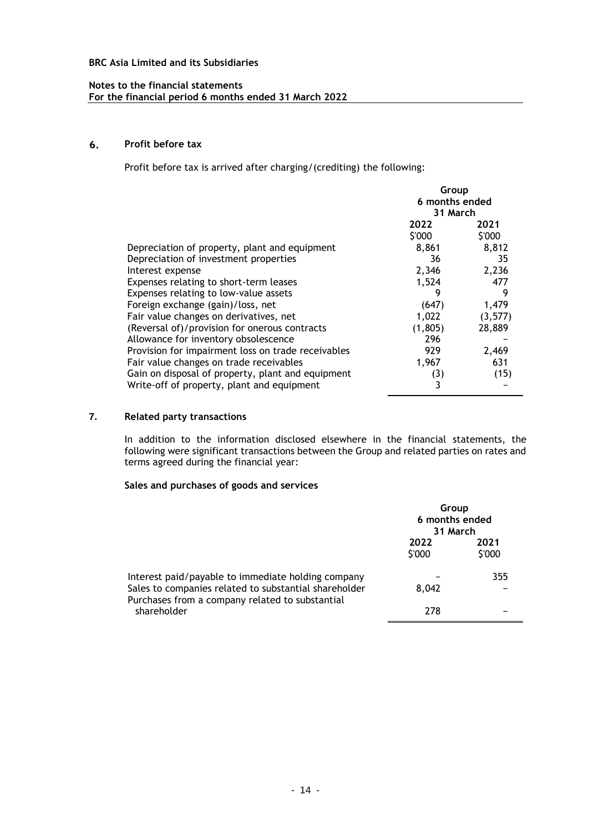### **Notes to the financial statements For the financial period 6 months ended 31 March 2022**

#### 6. **Profit before tax**

Profit before tax is arrived after charging/(crediting) the following:

|                                                    | Group<br>6 months ended<br>31 March |                |
|----------------------------------------------------|-------------------------------------|----------------|
|                                                    | 2022<br>\$'000                      | 2021<br>\$'000 |
| Depreciation of property, plant and equipment      | 8,861                               | 8,812          |
| Depreciation of investment properties              | 36                                  | 35             |
| Interest expense                                   | 2,346                               | 2,236          |
| Expenses relating to short-term leases             | 1,524                               | 477            |
| Expenses relating to low-value assets              | 9                                   | 9              |
| Foreign exchange (gain)/loss, net                  | (647)                               | 1,479          |
| Fair value changes on derivatives, net             | 1,022                               | (3, 577)       |
| (Reversal of)/provision for onerous contracts      | (1, 805)                            | 28,889         |
| Allowance for inventory obsolescence               | 296                                 |                |
| Provision for impairment loss on trade receivables | 929                                 | 2,469          |
| Fair value changes on trade receivables            | 1,967                               | 631            |
| Gain on disposal of property, plant and equipment  | (3)                                 | (15)           |
| Write-off of property, plant and equipment         | 3                                   |                |

# **7. Related party transactions**

In addition to the information disclosed elsewhere in the financial statements, the following were significant transactions between the Group and related parties on rates and terms agreed during the financial year:

### **Sales and purchases of goods and services**

|                                                                                                                                                                | Group<br>6 months ended<br>31 March |                |
|----------------------------------------------------------------------------------------------------------------------------------------------------------------|-------------------------------------|----------------|
|                                                                                                                                                                | 2022<br>\$'000                      | 2021<br>\$'000 |
| Interest paid/payable to immediate holding company<br>Sales to companies related to substantial shareholder<br>Purchases from a company related to substantial | 8.042                               | 355            |
| shareholder                                                                                                                                                    | 278                                 |                |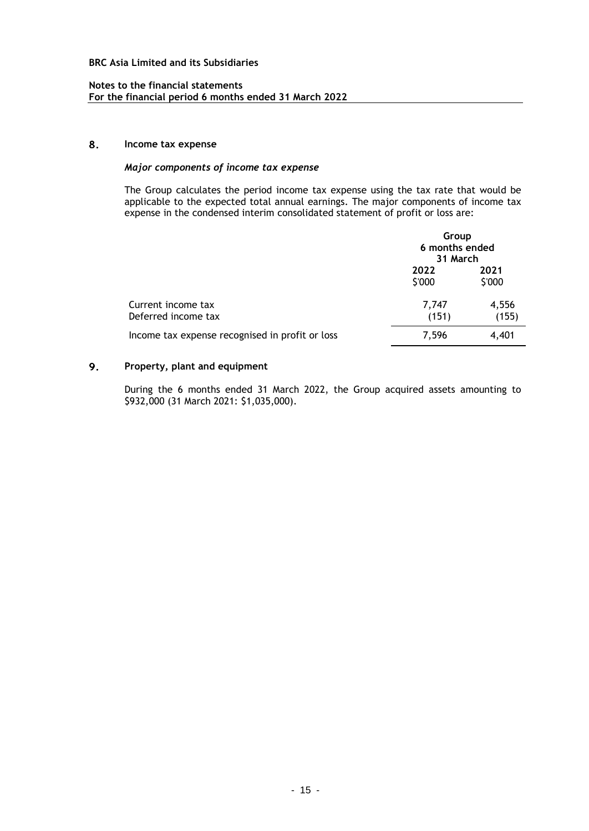### **Notes to the financial statements For the financial period 6 months ended 31 March 2022**

#### 8. **Income tax expense**

# *Major components of income tax expense*

The Group calculates the period income tax expense using the tax rate that would be applicable to the expected total annual earnings. The major components of income tax expense in the condensed interim consolidated statement of profit or loss are:

|                                                 |                | Group<br>6 months ended<br>31 March |  |
|-------------------------------------------------|----------------|-------------------------------------|--|
|                                                 | 2022<br>\$'000 | 2021<br>\$'000                      |  |
| Current income tax<br>Deferred income tax       | 7,747<br>(151) | 4,556<br>(155)                      |  |
| Income tax expense recognised in profit or loss | 7,596          | 4,401                               |  |

#### 9. **Property, plant and equipment**

During the 6 months ended 31 March 2022, the Group acquired assets amounting to \$932,000 (31 March 2021: \$1,035,000).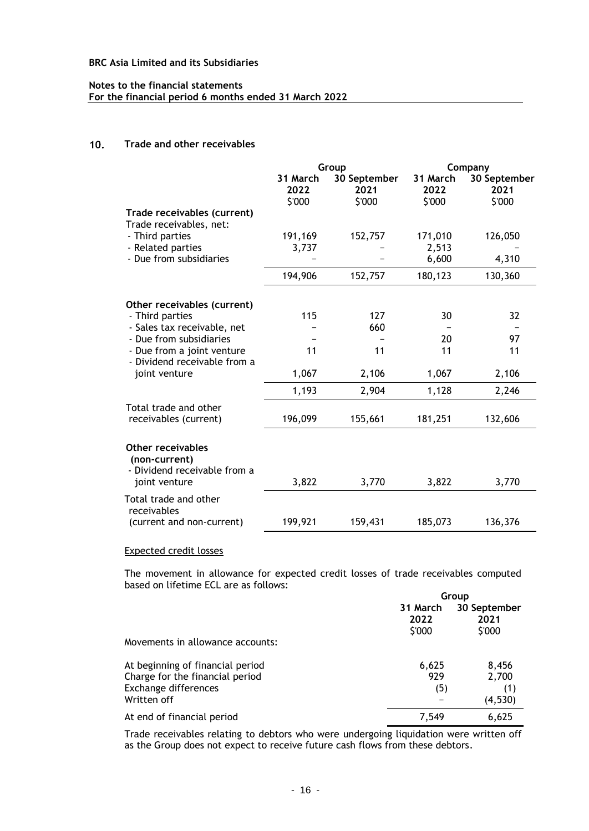### **Notes to the financial statements For the financial period 6 months ended 31 March 2022**

#### $10.$ **Trade and other receivables**

|                                                                           | Group                      |                                | Company                    |                                |
|---------------------------------------------------------------------------|----------------------------|--------------------------------|----------------------------|--------------------------------|
|                                                                           | 31 March<br>2022<br>\$'000 | 30 September<br>2021<br>\$'000 | 31 March<br>2022<br>\$'000 | 30 September<br>2021<br>\$'000 |
| Trade receivables (current)<br>Trade receivables, net:                    |                            |                                |                            |                                |
| - Third parties<br>- Related parties                                      | 191,169<br>3,737           | 152,757                        | 171,010<br>2,513           | 126,050                        |
| - Due from subsidiaries                                                   |                            |                                | 6,600                      | 4,310                          |
|                                                                           | 194,906                    | 152,757                        | 180,123                    | 130,360                        |
| Other receivables (current)                                               |                            |                                |                            |                                |
| - Third parties                                                           | 115                        | 127                            | 30                         | 32                             |
| - Sales tax receivable, net<br>- Due from subsidiaries                    |                            | 660                            | 20                         | 97                             |
| - Due from a joint venture<br>- Dividend receivable from a                | 11                         | 11                             | 11                         | 11                             |
| joint venture                                                             | 1,067                      | 2,106                          | 1,067                      | 2,106                          |
|                                                                           | 1,193                      | 2,904                          | 1,128                      | 2,246                          |
| Total trade and other<br>receivables (current)                            | 196,099                    | 155,661                        | 181,251                    | 132,606                        |
| <b>Other receivables</b><br>(non-current)<br>- Dividend receivable from a |                            |                                |                            |                                |
| joint venture                                                             | 3,822                      | 3,770                          | 3,822                      | 3,770                          |
| Total trade and other<br>receivables                                      |                            |                                |                            |                                |
| (current and non-current)                                                 | 199,921                    | 159,431                        | 185,073                    | 136,376                        |

#### Expected credit losses

The movement in allowance for expected credit losses of trade receivables computed based on lifetime ECL are as follows:

|                                                                     | Group                      |                                |  |
|---------------------------------------------------------------------|----------------------------|--------------------------------|--|
|                                                                     | 31 March<br>2022<br>\$'000 | 30 September<br>2021<br>\$'000 |  |
| Movements in allowance accounts:                                    |                            |                                |  |
| At beginning of financial period<br>Charge for the financial period | 6,625<br>929               | 8,456<br>2,700                 |  |
| Exchange differences<br>Written off                                 | (5)                        | (1)<br>(4, 530)                |  |
| At end of financial period                                          | 7.549                      | 6,625                          |  |

Trade receivables relating to debtors who were undergoing liquidation were written off as the Group does not expect to receive future cash flows from these debtors.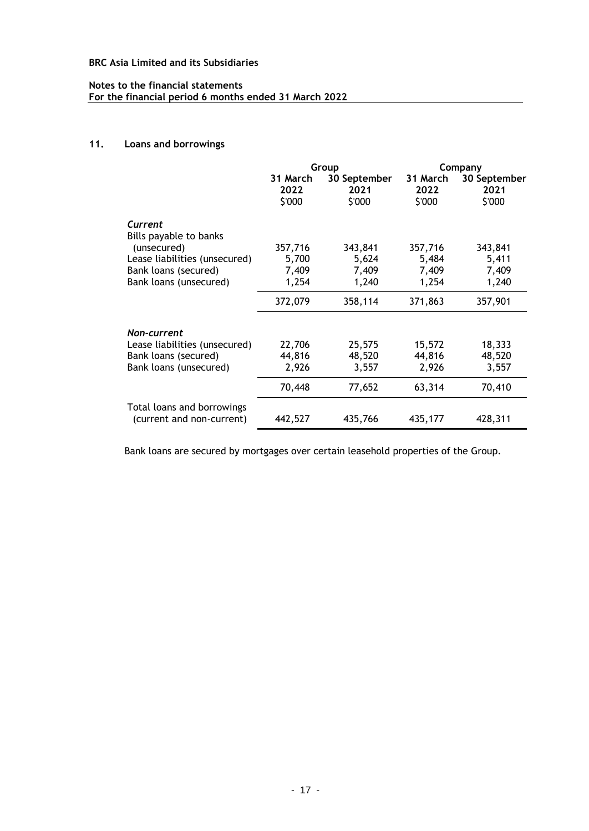# **Notes to the financial statements For the financial period 6 months ended 31 March 2022**

# **11. Loans and borrowings**

|                                   |                            | Group                          | Company                    |                                |
|-----------------------------------|----------------------------|--------------------------------|----------------------------|--------------------------------|
|                                   | 31 March<br>2022<br>\$'000 | 30 September<br>2021<br>\$'000 | 31 March<br>2022<br>\$'000 | 30 September<br>2021<br>\$'000 |
| Current<br>Bills payable to banks |                            |                                |                            |                                |
| (unsecured)                       | 357,716                    | 343,841                        | 357,716                    | 343,841                        |
| Lease liabilities (unsecured)     | 5,700                      | 5,624                          | 5,484                      | 5,411                          |
| Bank loans (secured)              | 7,409                      | 7,409                          | 7,409                      | 7,409                          |
| Bank loans (unsecured)            | 1,254                      | 1,240                          | 1,254                      | 1,240                          |
|                                   | 372,079                    | 358,114                        | 371,863                    | 357,901                        |
| Non-current                       |                            |                                |                            |                                |
| Lease liabilities (unsecured)     | 22,706                     | 25,575                         | 15,572                     | 18,333                         |
| Bank loans (secured)              | 44,816                     | 48,520                         | 44,816                     | 48,520                         |
| Bank loans (unsecured)            | 2,926                      | 3,557                          | 2,926                      | 3,557                          |
|                                   | 70,448                     | 77,652                         | 63,314                     | 70,410                         |
| Total loans and borrowings        |                            |                                |                            |                                |
| (current and non-current)         | 442,527                    | 435,766                        | 435,177                    | 428,311                        |

Bank loans are secured by mortgages over certain leasehold properties of the Group.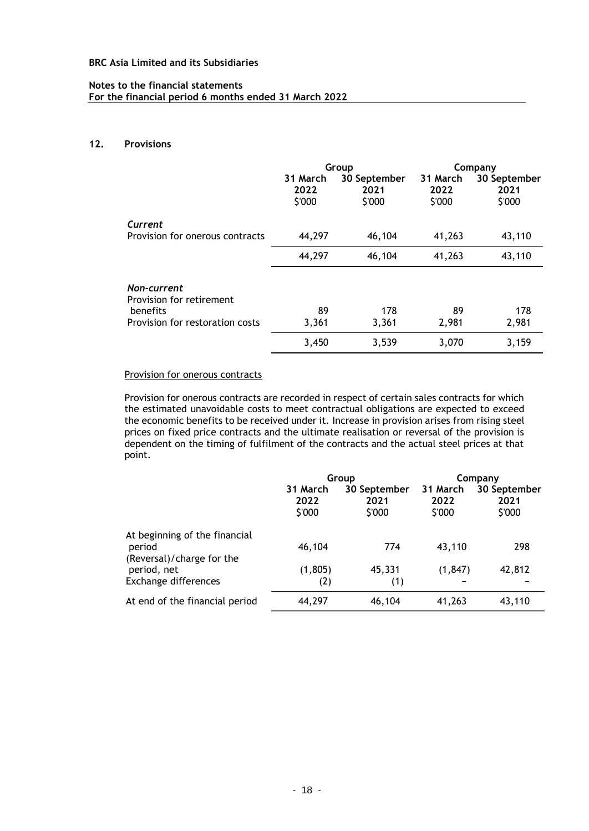#### **Notes to the financial statements For the financial period 6 months ended 31 March 2022**

#### **12. Provisions**

|                                                                                        | Group                      |                                | Company                    |                                |
|----------------------------------------------------------------------------------------|----------------------------|--------------------------------|----------------------------|--------------------------------|
|                                                                                        | 31 March<br>2022<br>\$'000 | 30 September<br>2021<br>\$'000 | 31 March<br>2022<br>\$'000 | 30 September<br>2021<br>\$'000 |
| Current                                                                                |                            |                                |                            |                                |
| Provision for onerous contracts                                                        | 44,297                     | 46,104                         | 41,263                     | 43,110                         |
|                                                                                        | 44,297                     | 46,104                         | 41,263                     | 43,110                         |
| Non-current<br>Provision for retirement<br>benefits<br>Provision for restoration costs | 89<br>3,361                | 178<br>3,361                   | 89<br>2,981                | 178<br>2,981                   |
|                                                                                        | 3,450                      | 3,539                          | 3,070                      | 3,159                          |

# Provision for onerous contracts

Provision for onerous contracts are recorded in respect of certain sales contracts for which the estimated unavoidable costs to meet contractual obligations are expected to exceed the economic benefits to be received under it. Increase in provision arises from rising steel prices on fixed price contracts and the ultimate realisation or reversal of the provision is dependent on the timing of fulfilment of the contracts and the actual steel prices at that point.

|                                                                      | Group                      |                                | Company                    |                                |
|----------------------------------------------------------------------|----------------------------|--------------------------------|----------------------------|--------------------------------|
|                                                                      | 31 March<br>2022<br>\$'000 | 30 September<br>2021<br>\$'000 | 31 March<br>2022<br>\$'000 | 30 September<br>2021<br>\$'000 |
| At beginning of the financial<br>period<br>(Reversal)/charge for the | 46,104                     | 774                            | 43,110                     | 298                            |
| period, net<br>Exchange differences                                  | (1, 805)<br>(2)            | 45,331<br>(1)                  | (1, 847)                   | 42,812                         |
| At end of the financial period                                       | 44,297                     | 46,104                         | 41,263                     | 43,110                         |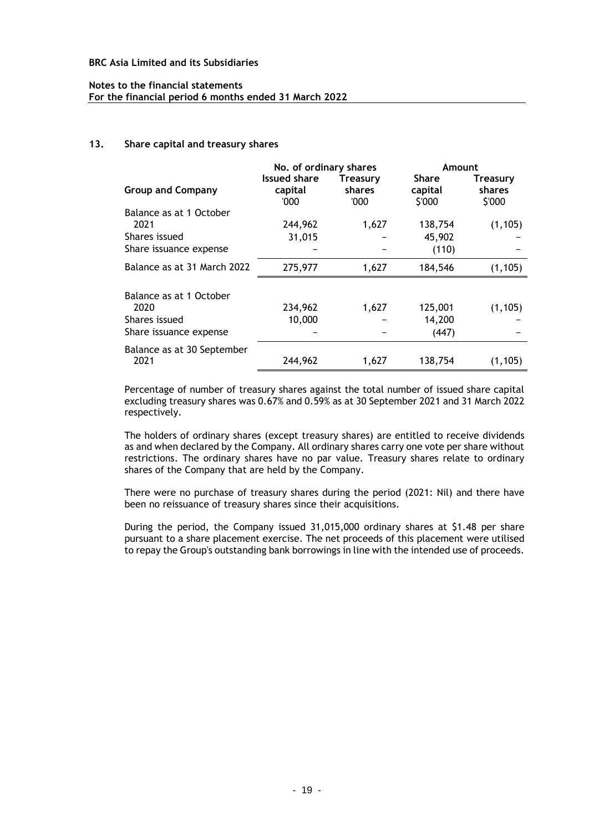#### **Notes to the financial statements For the financial period 6 months ended 31 March 2022**

#### **13. Share capital and treasury shares**

|                                                                            | No. of ordinary shares                 |                                   | Amount                            |                                     |
|----------------------------------------------------------------------------|----------------------------------------|-----------------------------------|-----------------------------------|-------------------------------------|
| <b>Group and Company</b>                                                   | <b>Issued share</b><br>capital<br>'000 | <b>Treasury</b><br>shares<br>'000 | <b>Share</b><br>capital<br>\$'000 | <b>Treasury</b><br>shares<br>\$'000 |
| Balance as at 1 October<br>2021                                            | 244,962                                | 1,627                             | 138,754                           | (1, 105)                            |
| Shares issued<br>Share issuance expense                                    | 31,015                                 |                                   | 45,902<br>(110)                   |                                     |
| Balance as at 31 March 2022                                                | 275,977                                | 1,627                             | 184,546                           | (1, 105)                            |
| Balance as at 1 October<br>2020<br>Shares issued<br>Share issuance expense | 234,962<br>10,000                      | 1,627                             | 125,001<br>14,200<br>(447)        | (1, 105)                            |
| Balance as at 30 September<br>2021                                         | 244,962                                | 1,627                             | 138,754                           | (1, 105)                            |

Percentage of number of treasury shares against the total number of issued share capital excluding treasury shares was 0.67% and 0.59% as at 30 September 2021 and 31 March 2022 respectively.

The holders of ordinary shares (except treasury shares) are entitled to receive dividends as and when declared by the Company. All ordinary shares carry one vote per share without restrictions. The ordinary shares have no par value. Treasury shares relate to ordinary shares of the Company that are held by the Company.

There were no purchase of treasury shares during the period (2021: Nil) and there have been no reissuance of treasury shares since their acquisitions.

During the period, the Company issued 31,015,000 ordinary shares at \$1.48 per share pursuant to a share placement exercise. The net proceeds of this placement were utilised to repay the Group's outstanding bank borrowings in line with the intended use of proceeds.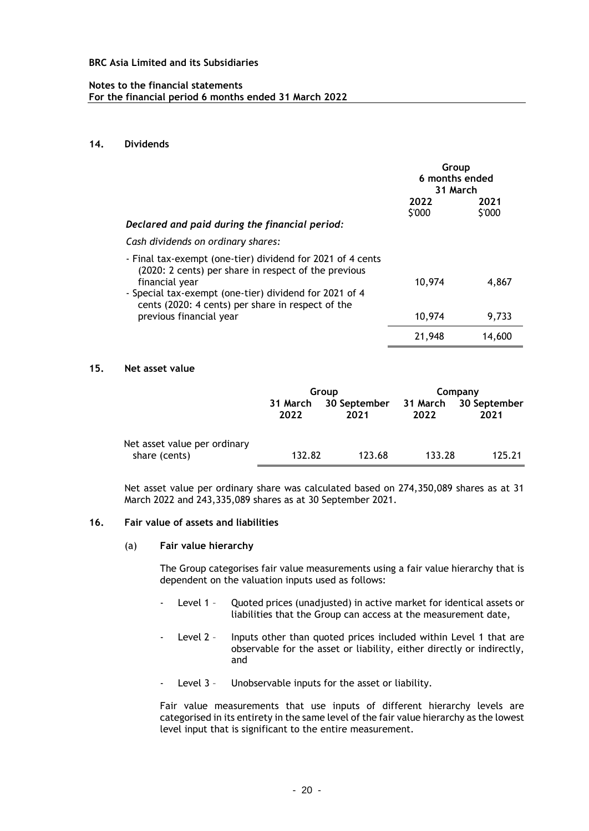#### **Notes to the financial statements For the financial period 6 months ended 31 March 2022**

### **14. Dividends**

|                                                                                                                                                                                                                                                     | Group<br>6 months ended<br>31 March |                |
|-----------------------------------------------------------------------------------------------------------------------------------------------------------------------------------------------------------------------------------------------------|-------------------------------------|----------------|
|                                                                                                                                                                                                                                                     | 2022<br>\$'000                      | 2021<br>\$'000 |
| Declared and paid during the financial period:                                                                                                                                                                                                      |                                     |                |
| Cash dividends on ordinary shares:                                                                                                                                                                                                                  |                                     |                |
| - Final tax-exempt (one-tier) dividend for 2021 of 4 cents<br>(2020: 2 cents) per share in respect of the previous<br>financial year<br>- Special tax-exempt (one-tier) dividend for 2021 of 4<br>cents (2020: 4 cents) per share in respect of the | 10,974                              | 4,867          |
| previous financial year                                                                                                                                                                                                                             | 10,974                              | 9,733          |
|                                                                                                                                                                                                                                                     | 21,948                              | 14,600         |

#### **15. Net asset value**

|                                               | Group            |                      | Company |                               |
|-----------------------------------------------|------------------|----------------------|---------|-------------------------------|
|                                               | 31 March<br>2022 | 30 September<br>2021 | 2022    | 31 March 30 September<br>2021 |
| Net asset value per ordinary<br>share (cents) | 132.82           | 123.68               | 133.28  | 125.21                        |

Net asset value per ordinary share was calculated based on 274,350,089 shares as at 31 March 2022 and 243,335,089 shares as at 30 September 2021.

#### **16. Fair value of assets and liabilities**

(a) **Fair value hierarchy**

The Group categorises fair value measurements using a fair value hierarchy that is dependent on the valuation inputs used as follows:

- Level 1 Quoted prices (unadjusted) in active market for identical assets or liabilities that the Group can access at the measurement date,
- Level 2 Inputs other than quoted prices included within Level 1 that are observable for the asset or liability, either directly or indirectly, and
- Level 3 Unobservable inputs for the asset or liability.

Fair value measurements that use inputs of different hierarchy levels are categorised in its entirety in the same level of the fair value hierarchy as the lowest level input that is significant to the entire measurement.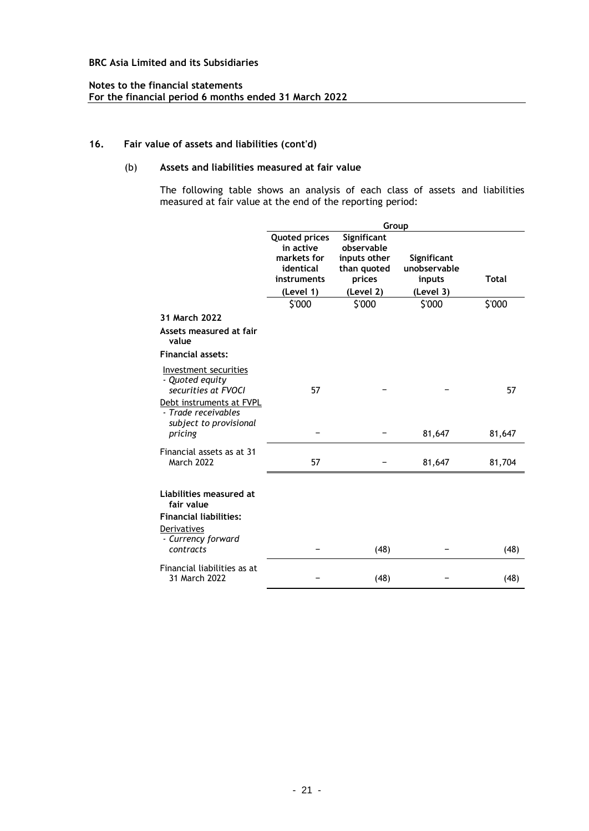### **Notes to the financial statements For the financial period 6 months ended 31 March 2022**

# **16. Fair value of assets and liabilities (cont'd)**

# (b) **Assets and liabilities measured at fair value**

The following table shows an analysis of each class of assets and liabilities measured at fair value at the end of the reporting period:

|                                                                                       | Group                                   |                                       |                                       |              |
|---------------------------------------------------------------------------------------|-----------------------------------------|---------------------------------------|---------------------------------------|--------------|
|                                                                                       | <b>Quoted prices</b><br>in active       | Significant<br>observable             |                                       |              |
|                                                                                       | markets for<br>identical<br>instruments | inputs other<br>than quoted<br>prices | Significant<br>unobservable<br>inputs | <b>Total</b> |
|                                                                                       | (Level 1)                               | (Level 2)                             | (Level 3)                             |              |
|                                                                                       | \$'000                                  | \$'000                                | \$'000                                | \$'000       |
| 31 March 2022                                                                         |                                         |                                       |                                       |              |
| Assets measured at fair<br>value                                                      |                                         |                                       |                                       |              |
| <b>Financial assets:</b>                                                              |                                         |                                       |                                       |              |
| Investment securities<br>- Quoted equity<br>securities at FVOCI                       | 57                                      |                                       |                                       | 57           |
| Debt instruments at FVPL<br>- Trade receivables<br>subject to provisional<br>pricing  |                                         |                                       |                                       |              |
|                                                                                       |                                         |                                       | 81,647                                | 81,647       |
| Financial assets as at 31<br><b>March 2022</b>                                        | 57                                      |                                       | 81,647                                | 81,704       |
| Liabilities measured at<br>fair value<br><b>Financial liabilities:</b><br>Derivatives |                                         |                                       |                                       |              |
| - Currency forward<br>contracts                                                       |                                         | (48)                                  |                                       | (48)         |
| Financial liabilities as at<br>31 March 2022                                          |                                         | (48)                                  |                                       | (48)         |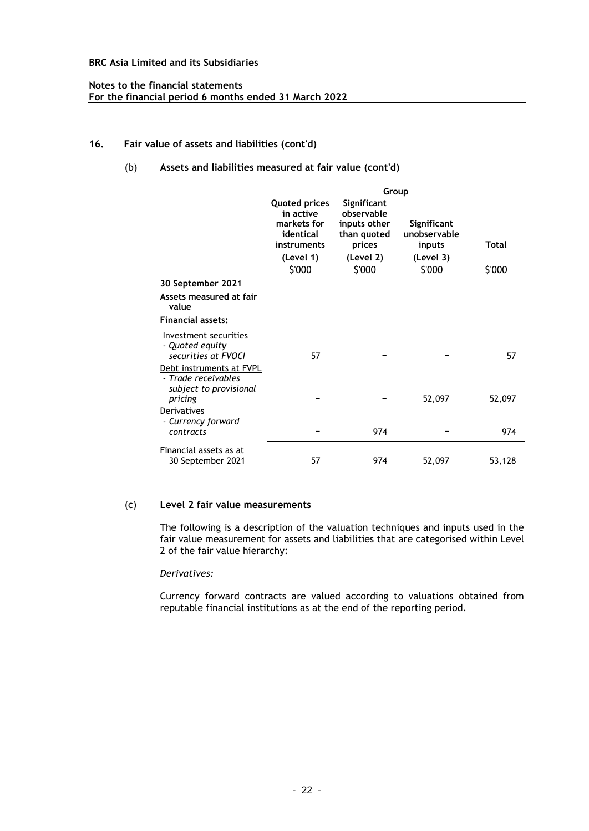### **Notes to the financial statements For the financial period 6 months ended 31 March 2022**

# **16. Fair value of assets and liabilities (cont'd)**

# (b) **Assets and liabilities measured at fair value (cont'd)**

|                                                                           | Group                                                                        |                                                                    |                                       |              |
|---------------------------------------------------------------------------|------------------------------------------------------------------------------|--------------------------------------------------------------------|---------------------------------------|--------------|
|                                                                           | <b>Quoted prices</b><br>in active<br>markets for<br>identical<br>instruments | Significant<br>observable<br>inputs other<br>than quoted<br>prices | Significant<br>unobservable<br>inputs | <b>Total</b> |
|                                                                           | (Level 1)                                                                    | (Level 2)                                                          | (Level 3)                             |              |
|                                                                           | \$'000                                                                       | \$'000                                                             | \$'000                                | \$'000       |
| 30 September 2021                                                         |                                                                              |                                                                    |                                       |              |
| Assets measured at fair<br>value                                          |                                                                              |                                                                    |                                       |              |
| <b>Financial assets:</b>                                                  |                                                                              |                                                                    |                                       |              |
| Investment securities<br>- Quoted equity<br>securities at FVOCI           | 57                                                                           |                                                                    |                                       | 57           |
| Debt instruments at FVPL<br>- Trade receivables<br>subject to provisional |                                                                              |                                                                    |                                       |              |
| pricing                                                                   |                                                                              |                                                                    | 52,097                                | 52,097       |
| Derivatives<br>- Currency forward                                         |                                                                              |                                                                    |                                       |              |
| contracts                                                                 |                                                                              | 974                                                                |                                       | 974          |
| Financial assets as at<br>30 September 2021                               | 57                                                                           | 974                                                                | 52,097                                | 53,128       |

# (c) **Level 2 fair value measurements**

The following is a description of the valuation techniques and inputs used in the fair value measurement for assets and liabilities that are categorised within Level 2 of the fair value hierarchy:

#### *Derivatives:*

Currency forward contracts are valued according to valuations obtained from reputable financial institutions as at the end of the reporting period.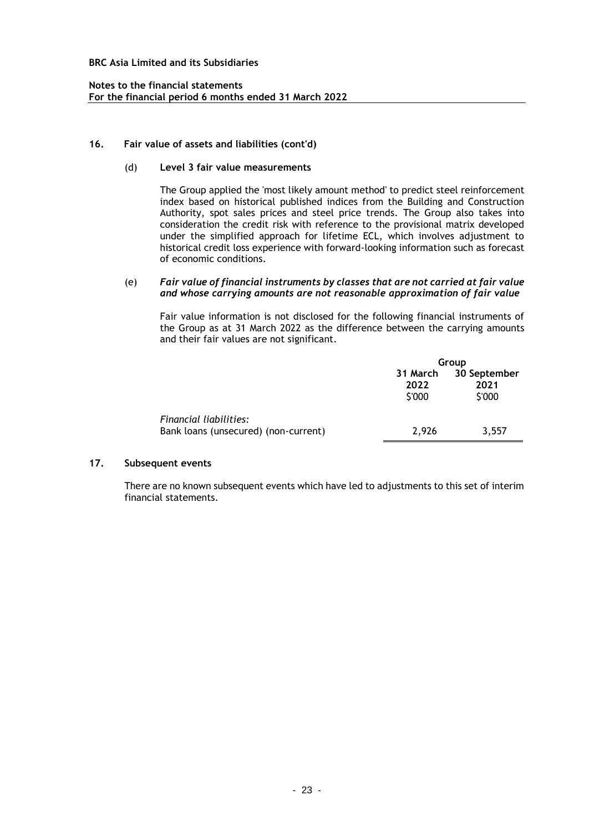### **Notes to the financial statements For the financial period 6 months ended 31 March 2022**

#### **16. Fair value of assets and liabilities (cont'd)**

### (d) **Level 3 fair value measurements**

The Group applied the 'most likely amount method' to predict steel reinforcement index based on historical published indices from the Building and Construction Authority, spot sales prices and steel price trends. The Group also takes into consideration the credit risk with reference to the provisional matrix developed under the simplified approach for lifetime ECL, which involves adjustment to historical credit loss experience with forward-looking information such as forecast of economic conditions.

#### (e) *Fair value of financial instruments by classes that are not carried at fair value and whose carrying amounts are not reasonable approximation of fair value*

Fair value information is not disclosed for the following financial instruments of the Group as at 31 March 2022 as the difference between the carrying amounts and their fair values are not significant.

|                                                                | Group          |                                         |  |
|----------------------------------------------------------------|----------------|-----------------------------------------|--|
|                                                                | 2022<br>\$'000 | 31 March 30 September<br>2021<br>\$'000 |  |
| Financial liabilities:<br>Bank loans (unsecured) (non-current) | 2.926          | 3,557                                   |  |

# **17. Subsequent events**

There are no known subsequent events which have led to adjustments to this set of interim financial statements.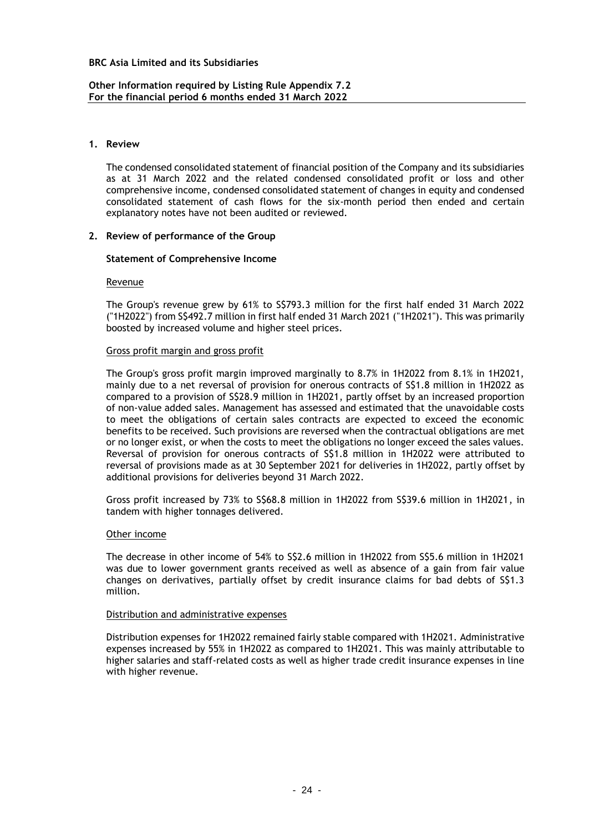### **Other Information required by Listing Rule Appendix 7.2 For the financial period 6 months ended 31 March 2022**

#### **1. Review**

The condensed consolidated statement of financial position of the Company and its subsidiaries as at 31 March 2022 and the related condensed consolidated profit or loss and other comprehensive income, condensed consolidated statement of changes in equity and condensed consolidated statement of cash flows for the six-month period then ended and certain explanatory notes have not been audited or reviewed.

#### **2. Review of performance of the Group**

#### **Statement of Comprehensive Income**

#### Revenue

The Group's revenue grew by 61% to S\$793.3 million for the first half ended 31 March 2022 ("1H2022") from S\$492.7 million in first half ended 31 March 2021 ("1H2021"). This was primarily boosted by increased volume and higher steel prices.

### Gross profit margin and gross profit

The Group's gross profit margin improved marginally to 8.7% in 1H2022 from 8.1% in 1H2021, mainly due to a net reversal of provision for onerous contracts of S\$1.8 million in 1H2022 as compared to a provision of S\$28.9 million in 1H2021, partly offset by an increased proportion of non-value added sales. Management has assessed and estimated that the unavoidable costs to meet the obligations of certain sales contracts are expected to exceed the economic benefits to be received. Such provisions are reversed when the contractual obligations are met or no longer exist, or when the costs to meet the obligations no longer exceed the sales values. Reversal of provision for onerous contracts of S\$1.8 million in 1H2022 were attributed to reversal of provisions made as at 30 September 2021 for deliveries in 1H2022, partly offset by additional provisions for deliveries beyond 31 March 2022.

Gross profit increased by 73% to S\$68.8 million in 1H2022 from S\$39.6 million in 1H2021, in tandem with higher tonnages delivered.

#### Other income

The decrease in other income of 54% to S\$2.6 million in 1H2022 from S\$5.6 million in 1H2021 was due to lower government grants received as well as absence of a gain from fair value changes on derivatives, partially offset by credit insurance claims for bad debts of S\$1.3 million.

#### Distribution and administrative expenses

Distribution expenses for 1H2022 remained fairly stable compared with 1H2021. Administrative expenses increased by 55% in 1H2022 as compared to 1H2021. This was mainly attributable to higher salaries and staff-related costs as well as higher trade credit insurance expenses in line with higher revenue.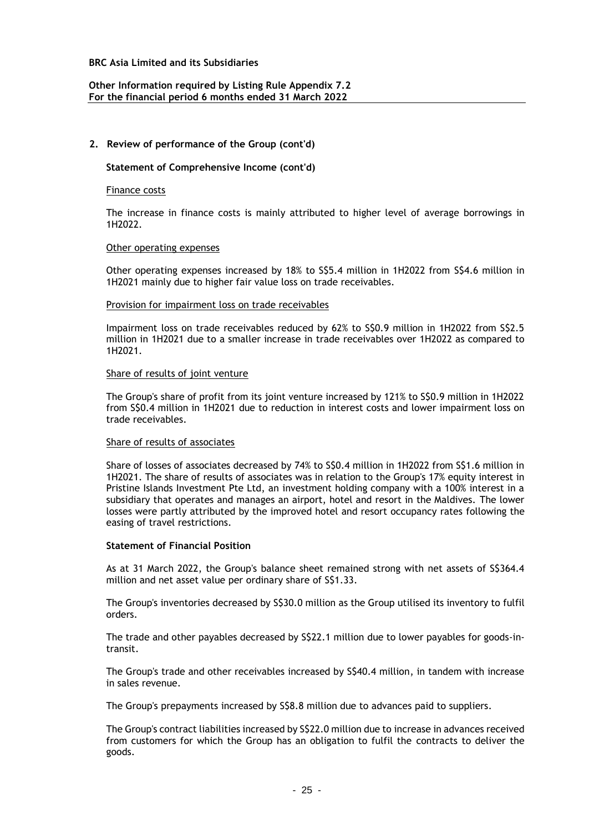### **Other Information required by Listing Rule Appendix 7.2 For the financial period 6 months ended 31 March 2022**

### **2. Review of performance of the Group (cont'd)**

#### **Statement of Comprehensive Income (cont'd)**

#### Finance costs

The increase in finance costs is mainly attributed to higher level of average borrowings in 1H2022.

#### Other operating expenses

Other operating expenses increased by 18% to S\$5.4 million in 1H2022 from S\$4.6 million in 1H2021 mainly due to higher fair value loss on trade receivables.

#### Provision for impairment loss on trade receivables

Impairment loss on trade receivables reduced by 62% to S\$0.9 million in 1H2022 from S\$2.5 million in 1H2021 due to a smaller increase in trade receivables over 1H2022 as compared to 1H2021.

#### Share of results of joint venture

The Group's share of profit from its joint venture increased by 121% to S\$0.9 million in 1H2022 from S\$0.4 million in 1H2021 due to reduction in interest costs and lower impairment loss on trade receivables.

#### Share of results of associates

Share of losses of associates decreased by 74% to S\$0.4 million in 1H2022 from S\$1.6 million in 1H2021. The share of results of associates was in relation to the Group's 17% equity interest in Pristine Islands Investment Pte Ltd, an investment holding company with a 100% interest in a subsidiary that operates and manages an airport, hotel and resort in the Maldives. The lower losses were partly attributed by the improved hotel and resort occupancy rates following the easing of travel restrictions.

#### **Statement of Financial Position**

As at 31 March 2022, the Group's balance sheet remained strong with net assets of S\$364.4 million and net asset value per ordinary share of S\$1.33.

The Group's inventories decreased by S\$30.0 million as the Group utilised its inventory to fulfil orders.

The trade and other payables decreased by S\$22.1 million due to lower payables for goods-intransit.

The Group's trade and other receivables increased by S\$40.4 million, in tandem with increase in sales revenue.

The Group's prepayments increased by S\$8.8 million due to advances paid to suppliers.

The Group's contract liabilities increased by S\$22.0 million due to increase in advances received from customers for which the Group has an obligation to fulfil the contracts to deliver the goods.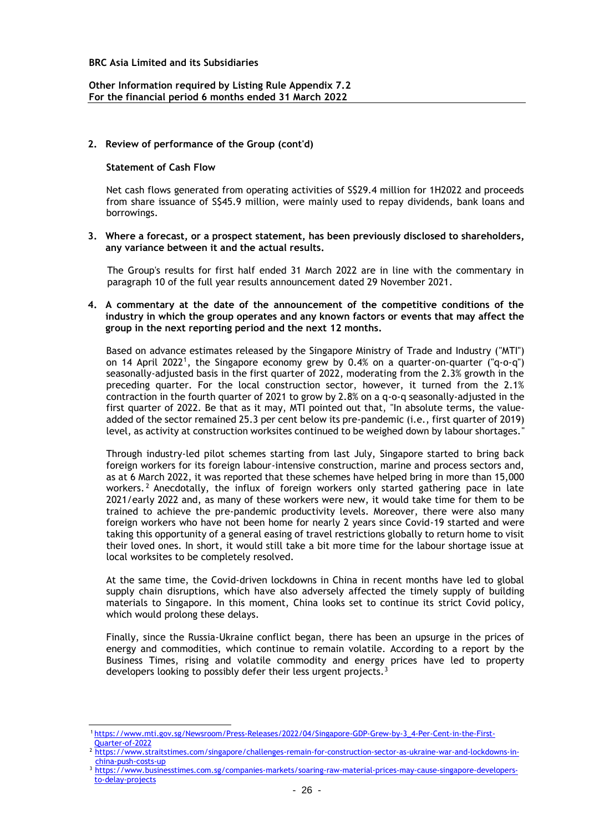### **Other Information required by Listing Rule Appendix 7.2 For the financial period 6 months ended 31 March 2022**

### **2. Review of performance of the Group (cont'd)**

#### **Statement of Cash Flow**

Net cash flows generated from operating activities of S\$29.4 million for 1H2022 and proceeds from share issuance of S\$45.9 million, were mainly used to repay dividends, bank loans and borrowings.

#### **3. Where a forecast, or a prospect statement, has been previously disclosed to shareholders, any variance between it and the actual results.**

The Group's results for first half ended 31 March 2022 are in line with the commentary in paragraph 10 of the full year results announcement dated 29 November 2021.

#### **4. A commentary at the date of the announcement of the competitive conditions of the industry in which the group operates and any known factors or events that may affect the group in the next reporting period and the next 12 months.**

Based on advance estimates released by the Singapore Ministry of Trade and Industry ("MTI") on 14 April 2022<sup>1</sup>, the Singapore economy grew by 0.4% on a quarter-on-quarter ("q-o-q") seasonally-adjusted basis in the first quarter of 2022, moderating from the 2.3% growth in the preceding quarter. For the local construction sector, however, it turned from the 2.1% contraction in the fourth quarter of 2021 to grow by 2.8% on a q-o-q seasonally-adjusted in the first quarter of 2022. Be that as it may, MTI pointed out that, "In absolute terms, the valueadded of the sector remained 25.3 per cent below its pre-pandemic (i.e., first quarter of 2019) level, as activity at construction worksites continued to be weighed down by labour shortages.

Through industry-led pilot schemes starting from last July, Singapore started to bring back foreign workers for its foreign labour-intensive construction, marine and process sectors and, as at 6 March 2022, it was reported that these schemes have helped bring in more than 15,000 workers.<sup>2</sup> Anecdotally, the influx of foreign workers only started gathering pace in late 2021/early 2022 and, as many of these workers were new, it would take time for them to be trained to achieve the pre-pandemic productivity levels. Moreover, there were also many foreign workers who have not been home for nearly 2 years since Covid-19 started and were taking this opportunity of a general easing of travel restrictions globally to return home to visit their loved ones. In short, it would still take a bit more time for the labour shortage issue at local worksites to be completely resolved.

At the same time, the Covid-driven lockdowns in China in recent months have led to global supply chain disruptions, which have also adversely affected the timely supply of building materials to Singapore. In this moment, China looks set to continue its strict Covid policy, which would prolong these delays.

Finally, since the Russia-Ukraine conflict began, there has been an upsurge in the prices of energy and commodities, which continue to remain volatile. According to a report by the Business Times, rising and volatile commodity and energy prices have led to property developers looking to possibly defer their less urgent projects.<sup>3</sup>

<sup>1</sup> [https://www.mti.gov.sg/Newsroom/Press-Releases/2022/04/Singapore-GDP-Grew-by-3\\_4-Per-Cent-in-the-First-](https://www.mti.gov.sg/Newsroom/Press-Releases/2022/04/Singapore-GDP-Grew-by-3_4-Per-Cent-in-the-First-Quarter-of-2022)[Quarter-of-2022](https://www.mti.gov.sg/Newsroom/Press-Releases/2022/04/Singapore-GDP-Grew-by-3_4-Per-Cent-in-the-First-Quarter-of-2022)

<sup>&</sup>lt;sup>2</sup> [https://www.straitstimes.com/singapore/challenges-remain-for-construction-sector-as-ukraine-war-and-lockdowns-in](https://www.straitstimes.com/singapore/challenges-remain-for-construction-sector-as-ukraine-war-and-lockdowns-in-china-push-costs-up)[china-push-costs-up](https://www.straitstimes.com/singapore/challenges-remain-for-construction-sector-as-ukraine-war-and-lockdowns-in-china-push-costs-up)

<sup>3</sup> [https://www.businesstimes.com.sg/companies-markets/soaring-raw-material-prices-may-cause-singapore-developers](https://www.businesstimes.com.sg/companies-markets/soaring-raw-material-prices-may-cause-singapore-developers-to-delay-projects)[to-delay-projects](https://www.businesstimes.com.sg/companies-markets/soaring-raw-material-prices-may-cause-singapore-developers-to-delay-projects)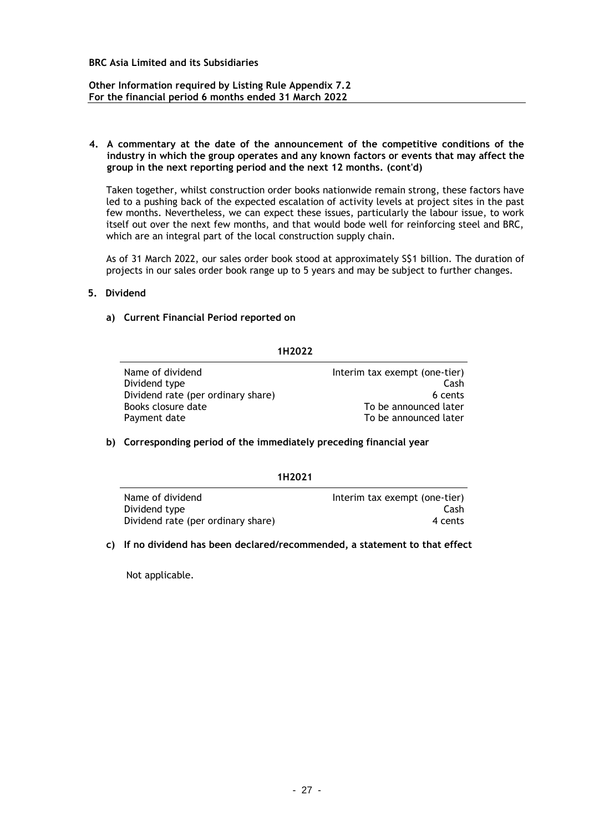### **Other Information required by Listing Rule Appendix 7.2 For the financial period 6 months ended 31 March 2022**

#### **4. A commentary at the date of the announcement of the competitive conditions of the industry in which the group operates and any known factors or events that may affect the group in the next reporting period and the next 12 months. (cont'd)**

Taken together, whilst construction order books nationwide remain strong, these factors have led to a pushing back of the expected escalation of activity levels at project sites in the past few months. Nevertheless, we can expect these issues, particularly the labour issue, to work itself out over the next few months, and that would bode well for reinforcing steel and BRC, which are an integral part of the local construction supply chain.

As of 31 March 2022, our sales order book stood at approximately S\$1 billion. The duration of projects in our sales order book range up to 5 years and may be subject to further changes.

### **5. Dividend**

### **a) Current Financial Period reported on**

### **1H2022**

Name of dividend **Interim tax exempt (one-tier)** Dividend type Cash Dividend rate (per ordinary share) 6 cents Books closure date To be announced later Payment date To be announced later

# **b) Corresponding period of the immediately preceding financial year**

#### **1H2021**

| Name of dividend                   | Interim tax exempt (one-tier) |
|------------------------------------|-------------------------------|
| Dividend type                      | Cash                          |
| Dividend rate (per ordinary share) | 4 cents                       |

#### **c) If no dividend has been declared/recommended, a statement to that effect**

Not applicable.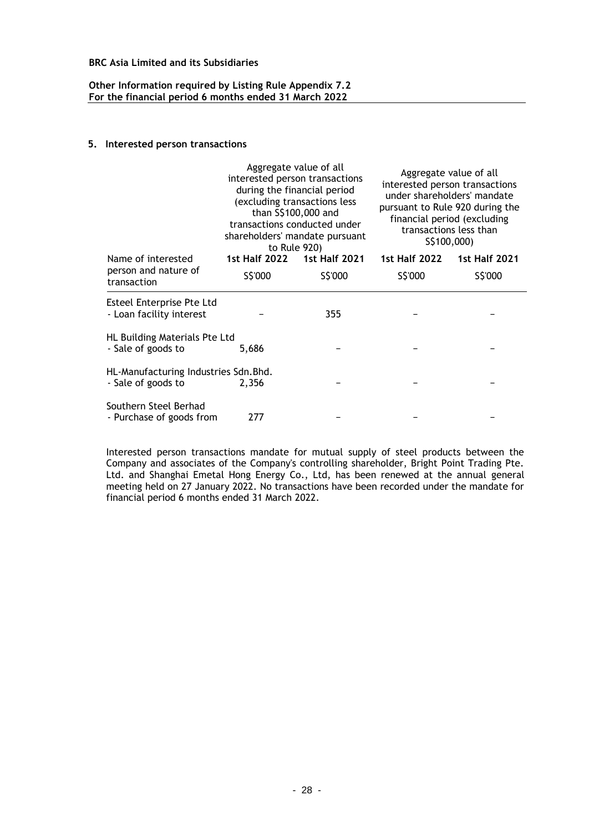### **Other Information required by Listing Rule Appendix 7.2 For the financial period 6 months ended 31 March 2022**

### **5. Interested person transactions**

|                                                             | Aggregate value of all<br>interested person transactions<br>during the financial period<br>(excluding transactions less<br>than S\$100,000 and<br>transactions conducted under<br>shareholders' mandate pursuant<br>to Rule 920) |                      | Aggregate value of all<br>interested person transactions<br>under shareholders' mandate<br>pursuant to Rule 920 during the<br>financial period (excluding<br>transactions less than<br>S\$100,000) |                      |
|-------------------------------------------------------------|----------------------------------------------------------------------------------------------------------------------------------------------------------------------------------------------------------------------------------|----------------------|----------------------------------------------------------------------------------------------------------------------------------------------------------------------------------------------------|----------------------|
| Name of interested                                          | <b>1st Half 2022</b>                                                                                                                                                                                                             | <b>1st Half 2021</b> | <b>1st Half 2022</b>                                                                                                                                                                               | <b>1st Half 2021</b> |
| person and nature of<br>transaction                         | S\$'000                                                                                                                                                                                                                          | S\$'000              | S\$'000                                                                                                                                                                                            | S\$'000              |
| Esteel Enterprise Pte Ltd<br>- Loan facility interest       |                                                                                                                                                                                                                                  | 355                  |                                                                                                                                                                                                    |                      |
| HL Building Materials Pte Ltd<br>- Sale of goods to         | 5,686                                                                                                                                                                                                                            |                      |                                                                                                                                                                                                    |                      |
| HL-Manufacturing Industries Sdn. Bhd.<br>- Sale of goods to | 2,356                                                                                                                                                                                                                            |                      |                                                                                                                                                                                                    |                      |
| Southern Steel Berhad<br>- Purchase of goods from           | 277                                                                                                                                                                                                                              |                      |                                                                                                                                                                                                    |                      |

Interested person transactions mandate for mutual supply of steel products between the Company and associates of the Company's controlling shareholder, Bright Point Trading Pte. Ltd. and Shanghai Emetal Hong Energy Co., Ltd, has been renewed at the annual general meeting held on 27 January 2022. No transactions have been recorded under the mandate for financial period 6 months ended 31 March 2022.